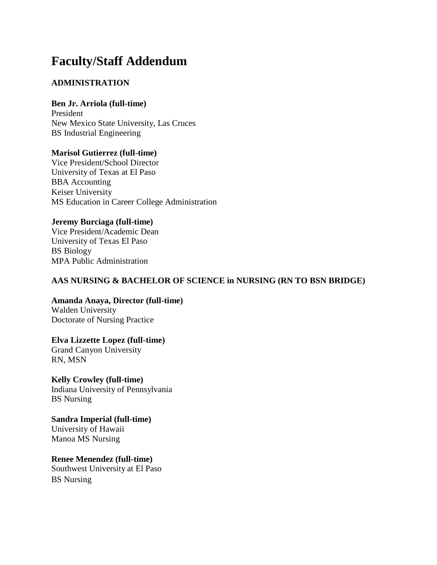# **Faculty/Staff Addendum**

### **ADMINISTRATION**

### **Ben Jr. Arriola (full-time)**

President New Mexico State University, Las Cruces BS Industrial Engineering

### **Marisol Gutierrez (full-time)**

Vice President/School Director University of Texas at El Paso BBA Accounting Keiser University MS Education in Career College Administration

#### **Jeremy Burciaga (full-time)**

Vice President/Academic Dean University of Texas El Paso BS Biology MPA Public Administration

### **AAS NURSING & BACHELOR OF SCIENCE in NURSING (RN TO BSN BRIDGE)**

**Amanda Anaya, Director (full-time)** Walden University

Doctorate of Nursing Practice

**Elva Lizzette Lopez (full-time)**  Grand Canyon University

RN, MSN

### **Kelly Crowley (full-time)**

Indiana University of Pennsylvania BS Nursing

### **Sandra Imperial (full-time)**

University of Hawaii Manoa MS Nursing

### **Renee Menendez (full-time)**

Southwest University at El Paso BS Nursing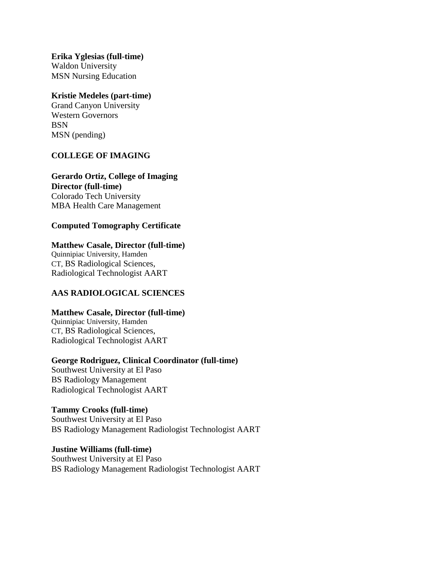**Erika Yglesias (full-time)** Waldon University MSN Nursing Education

#### **Kristie Medeles (part-time)**

Grand Canyon University Western Governors **BSN** MSN (pending)

### **COLLEGE OF IMAGING**

#### **Gerardo Ortiz, College of Imaging Director (full-time)**

Colorado Tech University MBA Health Care Management

### **Computed Tomography Certificate**

### **Matthew Casale, Director (full-time)**

Quinnipiac University, Hamden CT, BS Radiological Sciences, Radiological Technologist AART

### **AAS RADIOLOGICAL SCIENCES**

#### **Matthew Casale, Director (full-time)**

Quinnipiac University, Hamden CT, BS Radiological Sciences, Radiological Technologist AART

#### **George Rodriguez, Clinical Coordinator (full-time)**

Southwest University at El Paso BS Radiology Management Radiological Technologist AART

#### **Tammy Crooks (full-time)**

Southwest University at El Paso BS Radiology Management Radiologist Technologist AART

#### **Justine Williams (full-time)**

Southwest University at El Paso BS Radiology Management Radiologist Technologist AART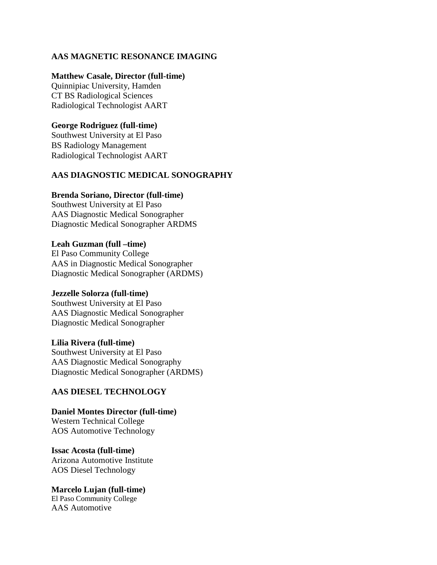### **AAS MAGNETIC RESONANCE IMAGING**

#### **Matthew Casale, Director (full-time)**

Quinnipiac University, Hamden CT BS Radiological Sciences Radiological Technologist AART

#### **George Rodriguez (full-time)**

Southwest University at El Paso BS Radiology Management Radiological Technologist AART

#### **AAS DIAGNOSTIC MEDICAL SONOGRAPHY**

#### **Brenda Soriano, Director (full-time)**

Southwest University at El Paso AAS Diagnostic Medical Sonographer Diagnostic Medical Sonographer ARDMS

#### **Leah Guzman (full –time)**

El Paso Community College AAS in Diagnostic Medical Sonographer Diagnostic Medical Sonographer (ARDMS)

#### **Jezzelle Solorza (full-time)**

Southwest University at El Paso AAS Diagnostic Medical Sonographer Diagnostic Medical Sonographer

**Lilia Rivera (full-time)** Southwest University at El Paso AAS Diagnostic Medical Sonography Diagnostic Medical Sonographer (ARDMS)

#### **AAS DIESEL TECHNOLOGY**

**Daniel Montes Director (full-time)** Western Technical College AOS Automotive Technology

**Issac Acosta (full-time)**  Arizona Automotive Institute AOS Diesel Technology

**Marcelo Lujan (full-time)** 

El Paso Community College AAS Automotive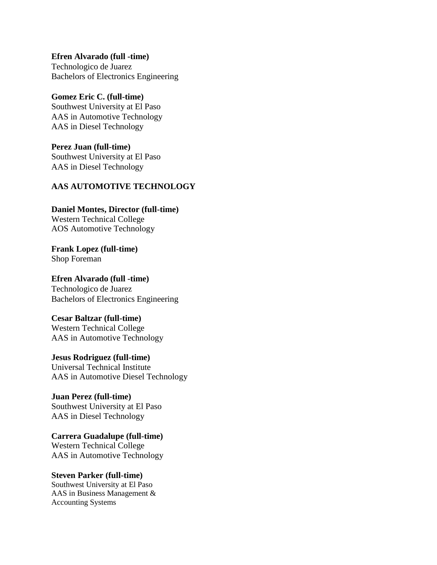**Efren Alvarado (full -time)**  Technologico de Juarez Bachelors of Electronics Engineering

### **Gomez Eric C. (full-time)** Southwest University at El Paso AAS in Automotive Technology

AAS in Diesel Technology **Perez Juan (full-time)** 

Southwest University at El Paso AAS in Diesel Technology

# **AAS AUTOMOTIVE TECHNOLOGY**

#### **Daniel Montes, Director (full-time)** Western Technical College

AOS Automotive Technology

**Frank Lopez (full-time)** Shop Foreman

# **Efren Alvarado (full -time)**  Technologico de Juarez

Bachelors of Electronics Engineering

### **Cesar Baltzar (full-time)**

Western Technical College AAS in Automotive Technology

# **Jesus Rodriguez (full-time)**

Universal Technical Institute AAS in Automotive Diesel Technology

# **Juan Perez (full-time)**

Southwest University at El Paso AAS in Diesel Technology

### **Carrera Guadalupe (full-time)**  Western Technical College

AAS in Automotive Technology

# **Steven Parker (full-time)**

Southwest University at El Paso AAS in Business Management & Accounting Systems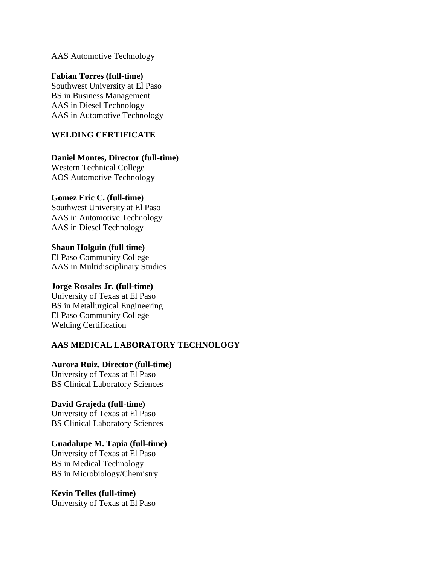AAS Automotive Technology

#### **Fabian Torres (full-time)**

Southwest University at El Paso BS in Business Management AAS in Diesel Technology AAS in Automotive Technology

### **WELDING CERTIFICATE**

#### **Daniel Montes, Director (full-time)**

Western Technical College AOS Automotive Technology

#### **Gomez Eric C. (full-time)**

Southwest University at El Paso AAS in Automotive Technology AAS in Diesel Technology

**Shaun Holguin (full time)** El Paso Community College AAS in Multidisciplinary Studies

#### **Jorge Rosales Jr. (full-time)**

University of Texas at El Paso BS in Metallurgical Engineering El Paso Community College Welding Certification

### **AAS MEDICAL LABORATORY TECHNOLOGY**

**Aurora Ruiz, Director (full-time)**  University of Texas at El Paso BS Clinical Laboratory Sciences

### **David Grajeda (full-time)**

University of Texas at El Paso BS Clinical Laboratory Sciences

#### **Guadalupe M. Tapia (full-time)**

University of Texas at El Paso BS in Medical Technology BS in Microbiology/Chemistry

**Kevin Telles (full-time)**  University of Texas at El Paso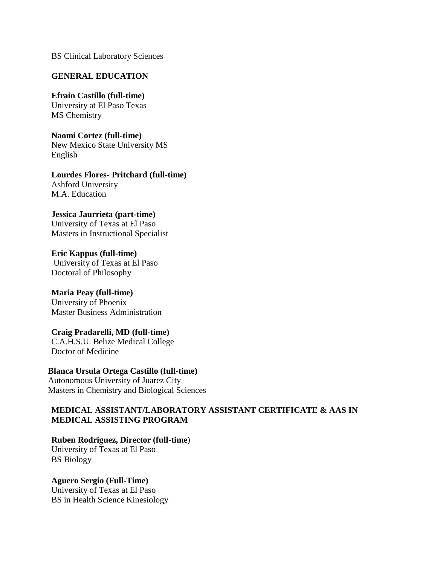BS Clinical Laboratory Sciences

#### **GENERAL EDUCATION**

### **Efrain Castillo (full-time)**

University at El Paso Texas MS Chemistry

**Naomi Cortez (full-time)** New Mexico State University MS English

### **Lourdes Flores- Pritchard (full-time)** Ashford University

M.A. Education

### **Jessica Jaurrieta (part-time)**

University of Texas at El Paso Masters in Instructional Specialist

**Eric Kappus (full-time)** University of Texas at El Paso Doctoral of Philosophy

# **Maria Peay (full-time)**

University of Phoenix Master Business Administration

### **Craig Pradarelli, MD (full-time)**

C.A.H.S.U. Belize Medical College Doctor of Medicine

### **Blanca Ursula Ortega Castillo (full-time)**

Autonomous University of Juarez City Masters in Chemistry and Biological Sciences

### **MEDICAL ASSISTANT/LABORATORY ASSISTANT CERTIFICATE & AAS IN MEDICAL ASSISTING PROGRAM**

### **Ruben Rodriguez, Director (full-time**)

University of Texas at El Paso BS Biology

### **Aguero Sergio (Full-Time)**

University of Texas at El Paso BS in Health Science Kinesiology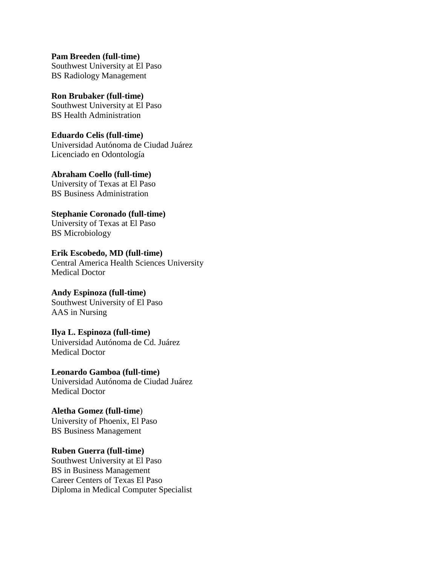**Pam Breeden (full-time)**  Southwest University at El Paso BS Radiology Management

**Ron Brubaker (full-time)** Southwest University at El Paso BS Health Administration

**Eduardo Celis (full-time)** Universidad Autónoma de Ciudad Juárez Licenciado en Odontología

**Abraham Coello (full-time)** University of Texas at El Paso BS Business Administration

**Stephanie Coronado (full-time)** University of Texas at El Paso BS Microbiology

**Erik Escobedo, MD (full-time)** Central America Health Sciences University Medical Doctor

**Andy Espinoza (full-time)**  Southwest University of El Paso AAS in Nursing

**Ilya L. Espinoza (full-time)** Universidad Autónoma de Cd. Juárez Medical Doctor

**Leonardo Gamboa (full-time)**  Universidad Autónoma de Ciudad Juárez Medical Doctor

**Aletha Gomez (full-time**) University of Phoenix, El Paso BS Business Management

**Ruben Guerra (full-time)** Southwest University at El Paso BS in Business Management Career Centers of Texas El Paso Diploma in Medical Computer Specialist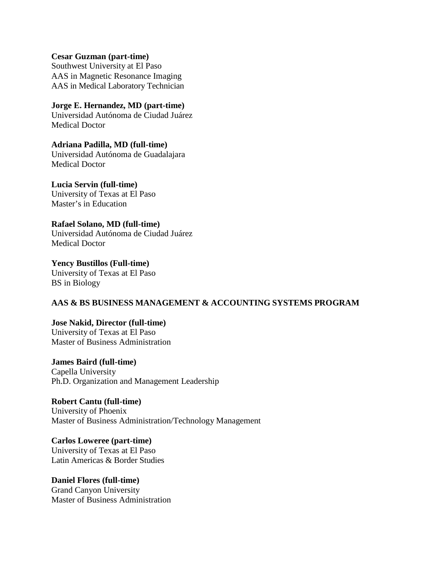**Cesar Guzman (part-time)** Southwest University at El Paso AAS in Magnetic Resonance Imaging AAS in Medical Laboratory Technician

**Jorge E. Hernandez, MD (part-time)** Universidad Autónoma de Ciudad Juárez Medical Doctor

**Adriana Padilla, MD (full-time)**  Universidad Autónoma de Guadalajara Medical Doctor

**Lucia Servin (full-time)**  University of Texas at El Paso Master's in Education

**Rafael Solano, MD (full-time)** Universidad Autónoma de Ciudad Juárez Medical Doctor

**Yency Bustillos (Full-time)** University of Texas at El Paso BS in Biology

### **AAS & BS BUSINESS MANAGEMENT & ACCOUNTING SYSTEMS PROGRAM**

**Jose Nakid, Director (full-time)** University of Texas at El Paso Master of Business Administration

**James Baird (full-time)** Capella University Ph.D. Organization and Management Leadership

**Robert Cantu (full-time)** University of Phoenix Master of Business Administration/Technology Management

**Carlos Loweree (part-time)**  University of Texas at El Paso Latin Americas & Border Studies

**Daniel Flores (full-time)** Grand Canyon University Master of Business Administration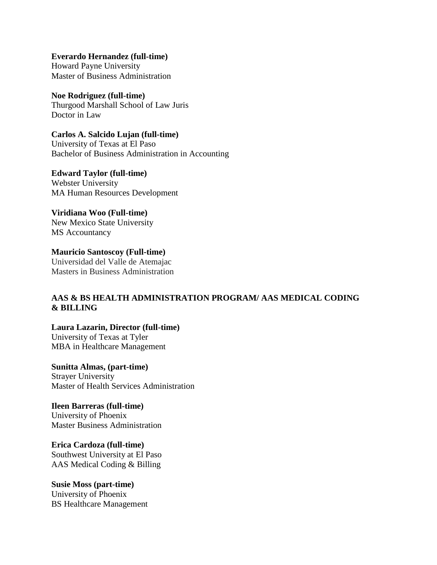**Everardo Hernandez (full-time)** Howard Payne University Master of Business Administration

**Noe Rodriguez (full-time)**  Thurgood Marshall School of Law Juris Doctor in Law

**Carlos A. Salcido Lujan (full-time)** University of Texas at El Paso Bachelor of Business Administration in Accounting

**Edward Taylor (full-time)** Webster University MA Human Resources Development

**Viridiana Woo (Full-time)**  New Mexico State University MS Accountancy

**Mauricio Santoscoy (Full-time)** Universidad del Valle de Atemajac Masters in Business Administration

### **AAS & BS HEALTH ADMINISTRATION PROGRAM/ AAS MEDICAL CODING & BILLING**

**Laura Lazarin, Director (full-time)** University of Texas at Tyler MBA in Healthcare Management

**Sunitta Almas, (part-time)** Strayer University Master of Health Services Administration

**Ileen Barreras (full-time)** University of Phoenix Master Business Administration

**Erica Cardoza (full-time)**  Southwest University at El Paso AAS Medical Coding & Billing

**Susie Moss (part-time)** University of Phoenix BS Healthcare Management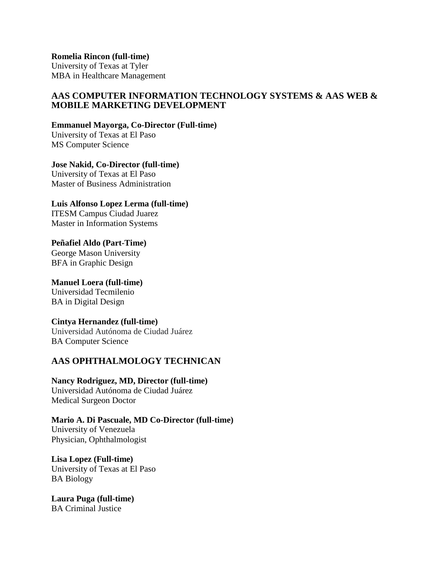**Romelia Rincon (full-time)**

University of Texas at Tyler MBA in Healthcare Management

### **AAS COMPUTER INFORMATION TECHNOLOGY SYSTEMS & AAS WEB & MOBILE MARKETING DEVELOPMENT**

#### **Emmanuel Mayorga, Co-Director (Full-time)**

University of Texas at El Paso MS Computer Science

### **Jose Nakid, Co-Director (full-time)**

University of Texas at El Paso Master of Business Administration

#### **Luis Alfonso Lopez Lerma (full-time)**  ITESM Campus Ciudad Juarez

Master in Information Systems

#### **Peñafiel Aldo (Part-Time)** George Mason University BFA in Graphic Design

# **Manuel Loera (full-time)**

Universidad Tecmilenio BA in Digital Design

### **Cintya Hernandez (full-time)**

Universidad Autónoma de Ciudad Juárez BA Computer Science

### **AAS OPHTHALMOLOGY TECHNICAN**

**Nancy Rodriguez, MD, Director (full-time)**  Universidad Autónoma de Ciudad Juárez Medical Surgeon Doctor

**Mario A. Di Pascuale, MD Co-Director (full-time)** University of Venezuela Physician, Ophthalmologist

**Lisa Lopez (Full-time)** University of Texas at El Paso BA Biology

**Laura Puga (full-time)** BA Criminal Justice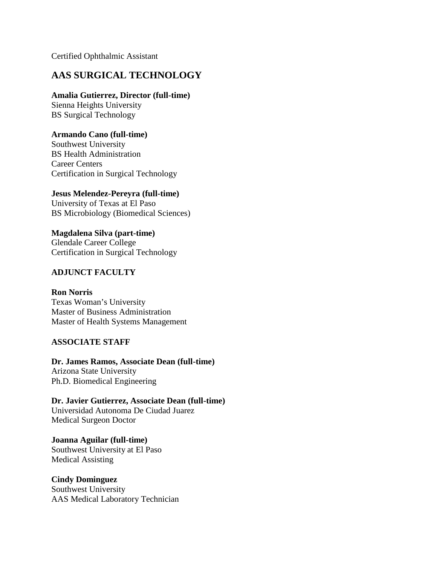Certified Ophthalmic Assistant

## **AAS SURGICAL TECHNOLOGY**

### **Amalia Gutierrez, Director (full-time)**

Sienna Heights University BS Surgical Technology

### **Armando Cano (full-time)**

Southwest University BS Health Administration Career Centers Certification in Surgical Technology

### **Jesus Melendez-Pereyra (full-time)**

University of Texas at El Paso BS Microbiology (Biomedical Sciences)

**Magdalena Silva (part-time)** Glendale Career College Certification in Surgical Technology

### **ADJUNCT FACULTY**

**Ron Norris** Texas Woman's University Master of Business Administration Master of Health Systems Management

### **ASSOCIATE STAFF**

**Dr. James Ramos, Associate Dean (full-time)**  Arizona State University Ph.D. Biomedical Engineering

**Dr. Javier Gutierrez, Associate Dean (full-time)**  Universidad Autonoma De Ciudad Juarez Medical Surgeon Doctor

**Joanna Aguilar (full-time)**  Southwest University at El Paso Medical Assisting

### **Cindy Dominguez**

Southwest University AAS Medical Laboratory Technician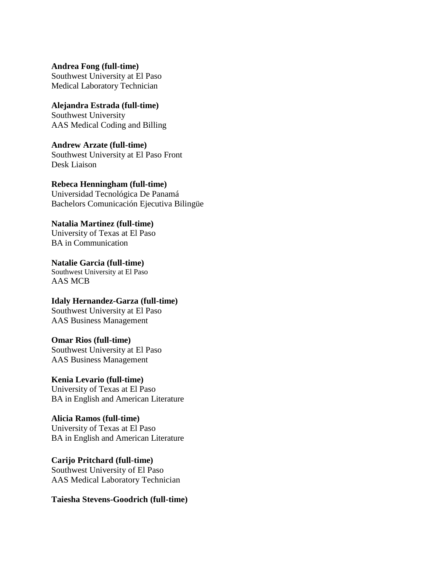**Andrea Fong (full-time)** Southwest University at El Paso Medical Laboratory Technician

**Alejandra Estrada (full-time)** Southwest University AAS Medical Coding and Billing

**Andrew Arzate (full-time)**  Southwest University at El Paso Front Desk Liaison

**Rebeca Henningham (full-time)** Universidad Tecnológica De Panamá Bachelors Comunicación Ejecutiva Bilingüe

**Natalia Martinez (full-time)** University of Texas at El Paso BA in Communication

**Natalie Garcia (full-time)**  Southwest University at El Paso AAS MCB

**Idaly Hernandez-Garza (full-time)** Southwest University at El Paso AAS Business Management

**Omar Rios (full-time)** Southwest University at El Paso AAS Business Management

**Kenia Levario (full-time)** University of Texas at El Paso BA in English and American Literature

**Alicia Ramos (full-time)** University of Texas at El Paso BA in English and American Literature

**Carijo Pritchard (full-time)** Southwest University of El Paso AAS Medical Laboratory Technician

**Taiesha Stevens-Goodrich (full-time)**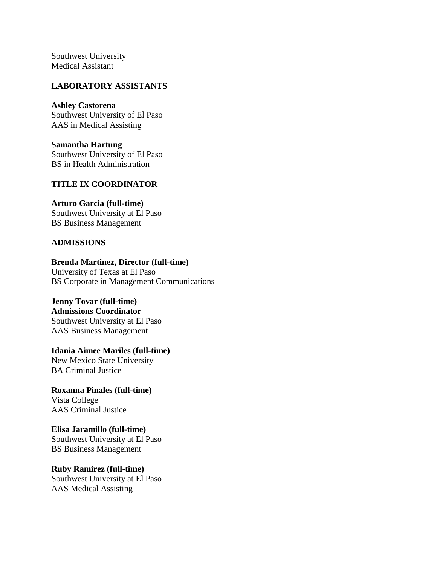Southwest University Medical Assistant

#### **LABORATORY ASSISTANTS**

**Ashley Castorena** Southwest University of El Paso AAS in Medical Assisting

**Samantha Hartung** Southwest University of El Paso BS in Health Administration

#### **TITLE IX COORDINATOR**

#### **Arturo Garcia (full-time)**

Southwest University at El Paso BS Business Management

#### **ADMISSIONS**

### **Brenda Martinez, Director (full-time)**

University of Texas at El Paso BS Corporate in Management Communications

### **Jenny Tovar (full-time)**

#### **Admissions Coordinator**

Southwest University at El Paso AAS Business Management

**Idania Aimee Mariles (full-time)** New Mexico State University

BA Criminal Justice

**Roxanna Pinales (full-time)** Vista College AAS Criminal Justice

**Elisa Jaramillo (full-time)** Southwest University at El Paso BS Business Management

**Ruby Ramirez (full-time)**

Southwest University at El Paso AAS Medical Assisting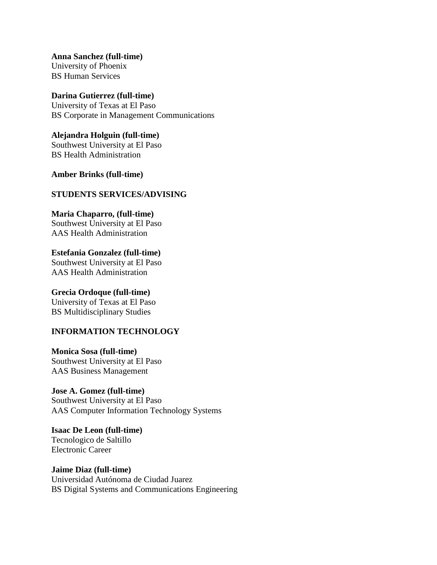**Anna Sanchez (full-time)** University of Phoenix BS Human Services

**Darina Gutierrez (full-time)** University of Texas at El Paso BS Corporate in Management Communications

**Alejandra Holguin (full-time)** Southwest University at El Paso BS Health Administration

**Amber Brinks (full-time)**

#### **STUDENTS SERVICES/ADVISING**

**Maria Chaparro, (full-time)**  Southwest University at El Paso AAS Health Administration

**Estefania Gonzalez (full-time)**  Southwest University at El Paso AAS Health Administration

**Grecia Ordoque (full-time)** University of Texas at El Paso BS Multidisciplinary Studies

### **INFORMATION TECHNOLOGY**

**Monica Sosa (full-time)** Southwest University at El Paso AAS Business Management

**Jose A. Gomez (full-time)** Southwest University at El Paso AAS Computer Information Technology Systems

**Isaac De Leon (full-time)** Tecnologico de Saltillo Electronic Career

**Jaime Diaz (full-time)** Universidad Autónoma de Ciudad Juarez BS Digital Systems and Communications Engineering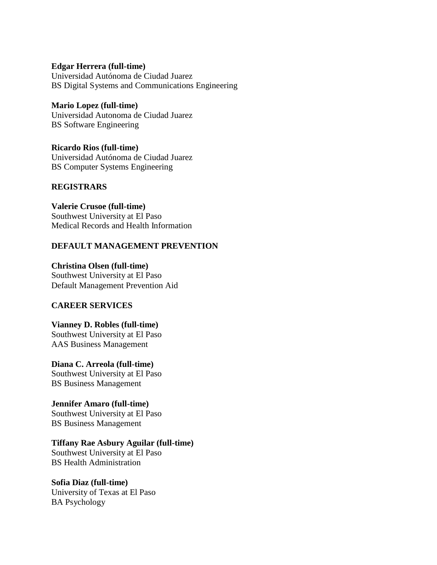**Edgar Herrera (full-time)** Universidad Autónoma de Ciudad Juarez BS Digital Systems and Communications Engineering

**Mario Lopez (full-time)** Universidad Autonoma de Ciudad Juarez BS Software Engineering

**Ricardo Rios (full-time)** Universidad Autónoma de Ciudad Juarez BS Computer Systems Engineering

### **REGISTRARS**

**Valerie Crusoe (full-time)** Southwest University at El Paso Medical Records and Health Information

### **DEFAULT MANAGEMENT PREVENTION**

**Christina Olsen (full-time)**  Southwest University at El Paso Default Management Prevention Aid

#### **CAREER SERVICES**

**Vianney D. Robles (full-time)** Southwest University at El Paso AAS Business Management

**Diana C. Arreola (full-time)** Southwest University at El Paso BS Business Management

**Jennifer Amaro (full-time)**  Southwest University at El Paso BS Business Management

#### **Tiffany Rae Asbury Aguilar (full-time)**

Southwest University at El Paso BS Health Administration

### **Sofia Diaz (full-time)**

University of Texas at El Paso BA Psychology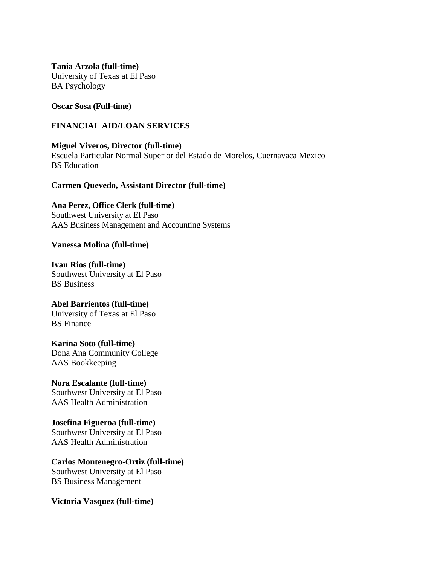**Tania Arzola (full-time)** University of Texas at El Paso BA Psychology

#### **Oscar Sosa (Full-time)**

#### **FINANCIAL AID/LOAN SERVICES**

**Miguel Viveros, Director (full-time)** Escuela Particular Normal Superior del Estado de Morelos, Cuernavaca Mexico BS Education

#### **Carmen Quevedo, Assistant Director (full-time)**

**Ana Perez, Office Clerk (full-time)** Southwest University at El Paso AAS Business Management and Accounting Systems

#### **Vanessa Molina (full-time)**

**Ivan Rios (full-time)** Southwest University at El Paso BS Business

**Abel Barrientos (full-time)** University of Texas at El Paso BS Finance

**Karina Soto (full-time)** Dona Ana Community College AAS Bookkeeping

**Nora Escalante (full-time)**  Southwest University at El Paso AAS Health Administration

**Josefina Figueroa (full-time)**  Southwest University at El Paso AAS Health Administration

**Carlos Montenegro-Ortiz (full-time)** Southwest University at El Paso BS Business Management

**Victoria Vasquez (full-time)**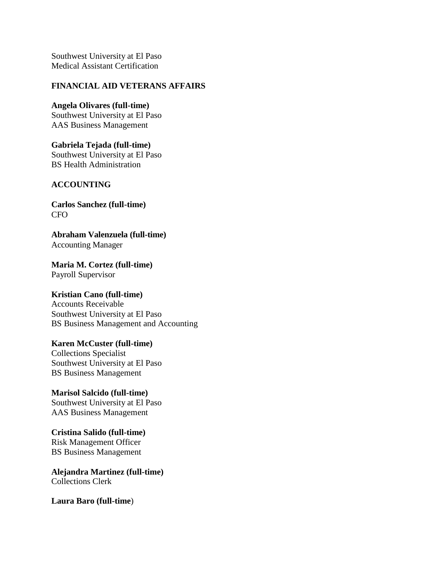Southwest University at El Paso Medical Assistant Certification

#### **FINANCIAL AID VETERANS AFFAIRS**

**Angela Olivares (full-time)**  Southwest University at El Paso AAS Business Management

**Gabriela Tejada (full-time)**  Southwest University at El Paso BS Health Administration

### **ACCOUNTING**

**Carlos Sanchez (full-time)**  CFO

**Abraham Valenzuela (full-time)** Accounting Manager

**Maria M. Cortez (full-time)**  Payroll Supervisor

### **Kristian Cano (full-time)**

Accounts Receivable Southwest University at El Paso BS Business Management and Accounting

# **Karen McCuster (full-time)**

Collections Specialist Southwest University at El Paso BS Business Management

**Marisol Salcido (full-time)**  Southwest University at El Paso AAS Business Management

**Cristina Salido (full-time)** Risk Management Officer BS Business Management

**Alejandra Martinez (full-time)** Collections Clerk

**Laura Baro (full-time**)